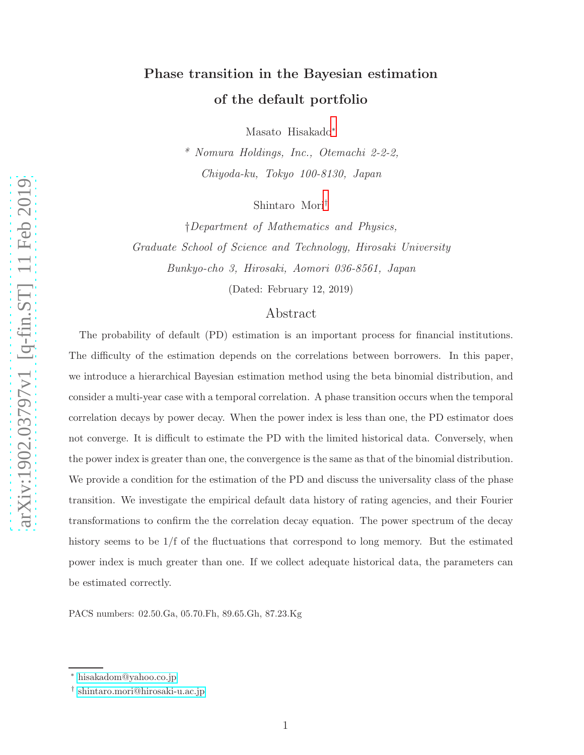# Phase transition in the Bayesian estimation of the default portfolio

Masato Hisakado[∗](#page-0-0)

\* Nomura Holdings, Inc., Otemachi 2-2-2, Chiyoda-ku, Tokyo 100-8130, Japan

Shintaro Mori[†](#page-0-1)

†Department of Mathematics and Physics, Graduate School of Science and Technology, Hirosaki University Bunkyo-cho 3, Hirosaki, Aomori 036-8561, Japan

(Dated: February 12, 2019)

# Abstract

The probability of default (PD) estimation is an important process for financial institutions. The difficulty of the estimation depends on the correlations between borrowers. In this paper, we introduce a hierarchical Bayesian estimation method using the beta binomial distribution, and consider a multi-year case with a temporal correlation. A phase transition occurs when the temporal correlation decays by power decay. When the power index is less than one, the PD estimator does not converge. It is difficult to estimate the PD with the limited historical data. Conversely, when the power index is greater than one, the convergence is the same as that of the binomial distribution. We provide a condition for the estimation of the PD and discuss the universality class of the phase transition. We investigate the empirical default data history of rating agencies, and their Fourier transformations to confirm the the correlation decay equation. The power spectrum of the decay history seems to be  $1/f$  of the fluctuations that correspond to long memory. But the estimated power index is much greater than one. If we collect adequate historical data, the parameters can be estimated correctly.

PACS numbers: 02.50.Ga, 05.70.Fh, 89.65.Gh, 87.23.Kg

<span id="page-0-1"></span><span id="page-0-0"></span><sup>∗</sup> [hisakadom@yahoo.co.jp](mailto:hisakadom@yahoo.co.jp)

<sup>†</sup> [shintaro.mori@hirosaki-u.ac.jp](mailto:shintaro.mori@hirosaki-u.ac.jp)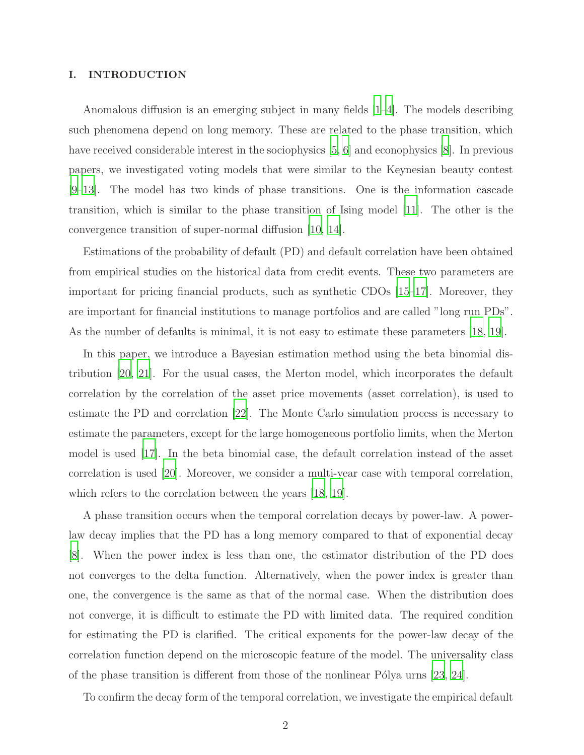## I. INTRODUCTION

Anomalous diffusion is an emerging subject in many fields [\[1](#page-21-0)[–4](#page-21-1)]. The models describing such phenomena depend on long memory. These are related to the phase transition, which have received considerable interest in the sociophysics [\[5,](#page-21-2) [6\]](#page-21-3) and econophysics [\[8\]](#page-21-4). In previous papers, we investigated voting models that were similar to the Keynesian beauty contest [\[9](#page-21-5)[–13\]](#page-22-0). The model has two kinds of phase transitions. One is the information cascade transition, which is similar to the phase transition of Ising model [\[11](#page-22-1)]. The other is the convergence transition of super-normal diffusion [\[10,](#page-22-2) [14\]](#page-22-3).

Estimations of the probability of default (PD) and default correlation have been obtained from empirical studies on the historical data from credit events. These two parameters are important for pricing financial products, such as synthetic CDOs [\[15](#page-22-4)[–17\]](#page-22-5). Moreover, they are important for financial institutions to manage portfolios and are called "long run PDs". As the number of defaults is minimal, it is not easy to estimate these parameters [\[18,](#page-22-6) [19](#page-22-7)].

In this paper, we introduce a Bayesian estimation method using the beta binomial distribution [\[20](#page-22-8), [21\]](#page-22-9). For the usual cases, the Merton model, which incorporates the default correlation by the correlation of the asset price movements (asset correlation), is used to estimate the PD and correlation [\[22](#page-22-10)]. The Monte Carlo simulation process is necessary to estimate the parameters, except for the large homogeneous portfolio limits, when the Merton model is used [\[17](#page-22-5)]. In the beta binomial case, the default correlation instead of the asset correlation is used [\[20\]](#page-22-8). Moreover, we consider a multi-year case with temporal correlation, which refers to the correlation between the years [\[18](#page-22-6), [19](#page-22-7)].

A phase transition occurs when the temporal correlation decays by power-law. A powerlaw decay implies that the PD has a long memory compared to that of exponential decay [\[8](#page-21-4)]. When the power index is less than one, the estimator distribution of the PD does not converges to the delta function. Alternatively, when the power index is greater than one, the convergence is the same as that of the normal case. When the distribution does not converge, it is difficult to estimate the PD with limited data. The required condition for estimating the PD is clarified. The critical exponents for the power-law decay of the correlation function depend on the microscopic feature of the model. The universality class of the phase transition is different from those of the nonlinear Pólya urns  $[23, 24]$  $[23, 24]$  $[23, 24]$ .

To confirm the decay form of the temporal correlation, we investigate the empirical default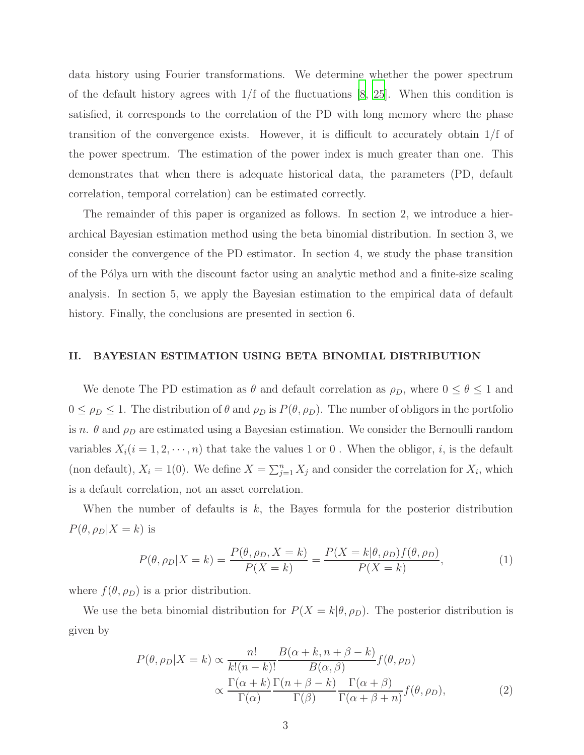data history using Fourier transformations. We determine whether the power spectrum of the default history agrees with  $1/f$  of the fluctuations [\[8](#page-21-4), [25](#page-22-13)]. When this condition is satisfied, it corresponds to the correlation of the PD with long memory where the phase transition of the convergence exists. However, it is difficult to accurately obtain 1/f of the power spectrum. The estimation of the power index is much greater than one. This demonstrates that when there is adequate historical data, the parameters (PD, default correlation, temporal correlation) can be estimated correctly.

The remainder of this paper is organized as follows. In section 2, we introduce a hierarchical Bayesian estimation method using the beta binomial distribution. In section 3, we consider the convergence of the PD estimator. In section 4, we study the phase transition of the Pólya urn with the discount factor using an analytic method and a finite-size scaling analysis. In section 5, we apply the Bayesian estimation to the empirical data of default history. Finally, the conclusions are presented in section 6.

## II. BAYESIAN ESTIMATION USING BETA BINOMIAL DISTRIBUTION

We denote The PD estimation as  $\theta$  and default correlation as  $\rho_D$ , where  $0 \le \theta \le 1$  and  $0 \leq \rho_D \leq 1$ . The distribution of  $\theta$  and  $\rho_D$  is  $P(\theta, \rho_D)$ . The number of obligors in the portfolio is n.  $\theta$  and  $\rho_D$  are estimated using a Bayesian estimation. We consider the Bernoulli random variables  $X_i(i = 1, 2, \dots, n)$  that take the values 1 or 0. When the obligor, *i*, is the default (non default),  $X_i = 1(0)$ . We define  $X = \sum_{j=1}^n X_j$  and consider the correlation for  $X_i$ , which is a default correlation, not an asset correlation.

When the number of defaults is  $k$ , the Bayes formula for the posterior distribution  $P(\theta, \rho_D | X = k)$  is

$$
P(\theta, \rho_D | X = k) = \frac{P(\theta, \rho_D, X = k)}{P(X = k)} = \frac{P(X = k | \theta, \rho_D) f(\theta, \rho_D)}{P(X = k)},
$$
\n(1)

where  $f(\theta, \rho_D)$  is a prior distribution.

We use the beta binomial distribution for  $P(X = k | \theta, \rho_D)$ . The posterior distribution is given by

<span id="page-2-0"></span>
$$
P(\theta, \rho_D | X = k) \propto \frac{n!}{k!(n-k)!} \frac{B(\alpha + k, n + \beta - k)}{B(\alpha, \beta)} f(\theta, \rho_D)
$$

$$
\propto \frac{\Gamma(\alpha + k)}{\Gamma(\alpha)} \frac{\Gamma(n + \beta - k)}{\Gamma(\beta)} \frac{\Gamma(\alpha + \beta)}{\Gamma(\alpha + \beta + n)} f(\theta, \rho_D), \tag{2}
$$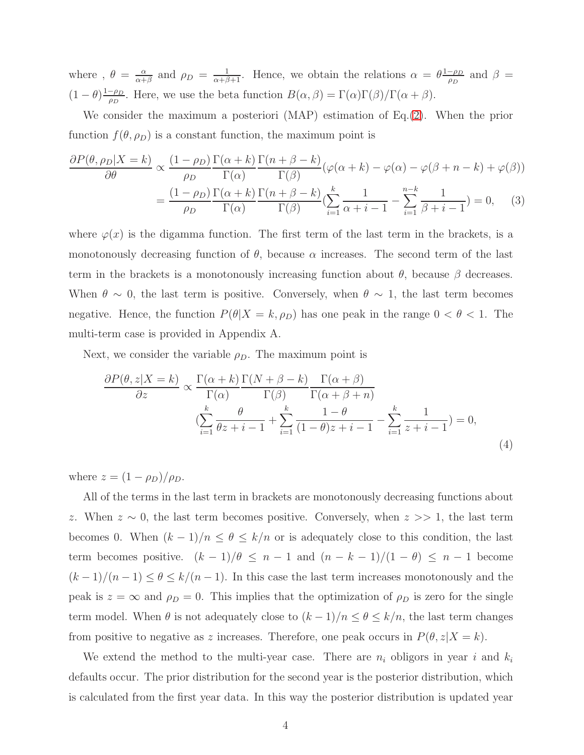where ,  $\theta = \frac{\alpha}{\alpha + \alpha}$  $\frac{\alpha}{\alpha+\beta}$  and  $\rho_D = \frac{1}{\alpha+\beta+1}$ . Hence, we obtain the relations  $\alpha = \theta \frac{1-\rho_D}{\rho_D}$  $\frac{-\rho_D}{\rho_D}$  and  $\beta =$  $(1-\theta)\frac{1-\rho_D}{\rho_D}$  $\frac{-\rho_D}{\rho_D}$ . Here, we use the beta function  $B(\alpha, \beta) = \Gamma(\alpha)\Gamma(\beta)/\Gamma(\alpha + \beta)$ .

We consider the maximum a posteriori (MAP) estimation of Eq.[\(2\)](#page-2-0). When the prior function  $f(\theta, \rho_D)$  is a constant function, the maximum point is

$$
\frac{\partial P(\theta, \rho_D|X=k)}{\partial \theta} \propto \frac{(1-\rho_D)}{\rho_D} \frac{\Gamma(\alpha+k)}{\Gamma(\alpha)} \frac{\Gamma(n+\beta-k)}{\Gamma(\beta)} (\varphi(\alpha+k) - \varphi(\alpha) - \varphi(\beta+n-k) + \varphi(\beta))
$$

$$
= \frac{(1-\rho_D)}{\rho_D} \frac{\Gamma(\alpha+k)}{\Gamma(\alpha)} \frac{\Gamma(n+\beta-k)}{\Gamma(\beta)} (\sum_{i=1}^k \frac{1}{\alpha+i-1} - \sum_{i=1}^{n-k} \frac{1}{\beta+i-1}) = 0, \quad (3)
$$

where  $\varphi(x)$  is the digamma function. The first term of the last term in the brackets, is a monotonously decreasing function of  $\theta$ , because  $\alpha$  increases. The second term of the last term in the brackets is a monotonously increasing function about  $\theta$ , because  $\beta$  decreases. When  $\theta \sim 0$ , the last term is positive. Conversely, when  $\theta \sim 1$ , the last term becomes negative. Hence, the function  $P(\theta|X = k, \rho_D)$  has one peak in the range  $0 < \theta < 1$ . The multi-term case is provided in Appendix A.

Next, we consider the variable  $\rho_D$ . The maximum point is

$$
\frac{\partial P(\theta, z|X=k)}{\partial z} \propto \frac{\Gamma(\alpha+k)}{\Gamma(\alpha)} \frac{\Gamma(N+\beta-k)}{\Gamma(\beta)} \frac{\Gamma(\alpha+\beta)}{\Gamma(\alpha+\beta+n)} \n\left(\sum_{i=1}^{k} \frac{\theta}{\theta z+i-1} + \sum_{i=1}^{k} \frac{1-\theta}{(1-\theta)z+i-1} - \sum_{i=1}^{k} \frac{1}{z+i-1}\right) = 0,
$$
\n(4)

where  $z = (1 - \rho_D)/\rho_D$ .

All of the terms in the last term in brackets are monotonously decreasing functions about z. When  $z \sim 0$ , the last term becomes positive. Conversely, when  $z >> 1$ , the last term becomes 0. When  $(k-1)/n \leq \theta \leq k/n$  or is adequately close to this condition, the last term becomes positive.  $(k - 1)/\theta \leq n - 1$  and  $(n - k - 1)/(1 - \theta) \leq n - 1$  become  $(k-1)/(n-1) \leq \theta \leq k/(n-1)$ . In this case the last term increases monotonously and the peak is  $z = \infty$  and  $\rho_D = 0$ . This implies that the optimization of  $\rho_D$  is zero for the single term model. When  $\theta$  is not adequately close to  $(k-1)/n \leq \theta \leq k/n$ , the last term changes from positive to negative as z increases. Therefore, one peak occurs in  $P(\theta, z|X = k)$ .

We extend the method to the multi-year case. There are  $n_i$  obligors in year i and  $k_i$ defaults occur. The prior distribution for the second year is the posterior distribution, which is calculated from the first year data. In this way the posterior distribution is updated year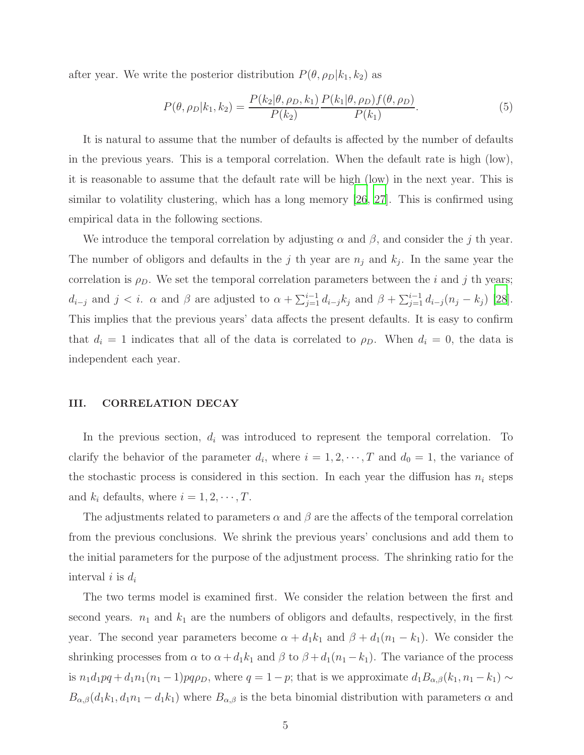after year. We write the posterior distribution  $P(\theta, \rho_D|k_1, k_2)$  as

$$
P(\theta, \rho_D | k_1, k_2) = \frac{P(k_2 | \theta, \rho_D, k_1)}{P(k_2)} \frac{P(k_1 | \theta, \rho_D) f(\theta, \rho_D)}{P(k_1)}.
$$
(5)

It is natural to assume that the number of defaults is affected by the number of defaults in the previous years. This is a temporal correlation. When the default rate is high (low), it is reasonable to assume that the default rate will be high (low) in the next year. This is similar to volatility clustering, which has a long memory [\[26](#page-22-14), [27](#page-22-15)]. This is confirmed using empirical data in the following sections.

We introduce the temporal correlation by adjusting  $\alpha$  and  $\beta$ , and consider the j th year. The number of obligors and defaults in the j th year are  $n_j$  and  $k_j$ . In the same year the correlation is  $\rho_D$ . We set the temporal correlation parameters between the i and j th years;  $d_{i-j}$  and  $j < i$ .  $\alpha$  and  $\beta$  are adjusted to  $\alpha + \sum_{j=1}^{i-1} d_{i-j} k_j$  and  $\beta + \sum_{j=1}^{i-1} d_{i-j} (n_j - k_j)$  [\[28\]](#page-22-16). This implies that the previous years' data affects the present defaults. It is easy to confirm that  $d_i = 1$  indicates that all of the data is correlated to  $\rho_D$ . When  $d_i = 0$ , the data is independent each year.

### III. CORRELATION DECAY

In the previous section,  $d_i$  was introduced to represent the temporal correlation. To clarify the behavior of the parameter  $d_i$ , where  $i = 1, 2, \dots, T$  and  $d_0 = 1$ , the variance of the stochastic process is considered in this section. In each year the diffusion has  $n_i$  steps and  $k_i$  defaults, where  $i = 1, 2, \dots, T$ .

The adjustments related to parameters  $\alpha$  and  $\beta$  are the affects of the temporal correlation from the previous conclusions. We shrink the previous years' conclusions and add them to the initial parameters for the purpose of the adjustment process. The shrinking ratio for the interval i is  $d_i$ 

The two terms model is examined first. We consider the relation between the first and second years.  $n_1$  and  $k_1$  are the numbers of obligors and defaults, respectively, in the first year. The second year parameters become  $\alpha + d_1k_1$  and  $\beta + d_1(n_1 - k_1)$ . We consider the shrinking processes from  $\alpha$  to  $\alpha + d_1k_1$  and  $\beta$  to  $\beta + d_1(n_1 - k_1)$ . The variance of the process is  $n_1d_1pq + d_1n_1(n_1 - 1)pq\rho_D$ , where  $q = 1 - p$ ; that is we approximate  $d_1B_{\alpha,\beta}(k_1, n_1 - k_1) \sim$  $B_{\alpha,\beta}(d_1k_1, d_1n_1 - d_1k_1)$  where  $B_{\alpha,\beta}$  is the beta binomial distribution with parameters  $\alpha$  and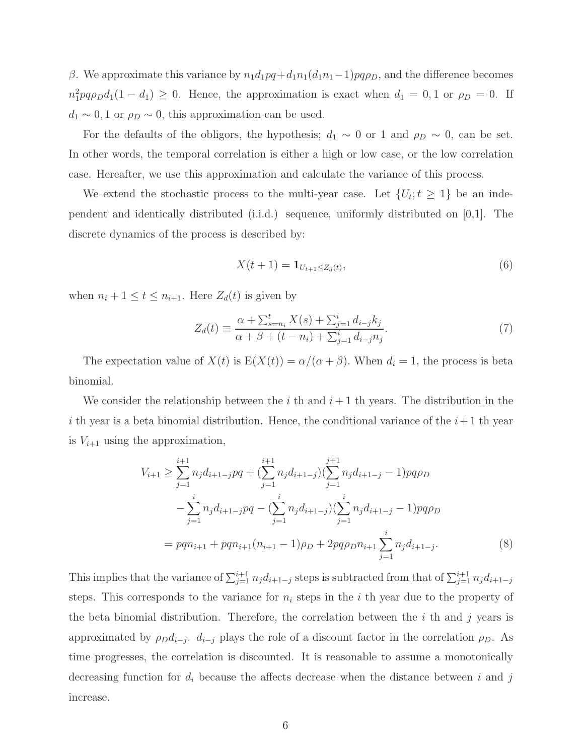β. We approximate this variance by  $n_1d_1pq+d_1n_1(d_1n_1-1)pq\rho_p$ , and the difference becomes  $n_1^2pq\rho_Dd_1(1-d_1) \geq 0$ . Hence, the approximation is exact when  $d_1 = 0, 1$  or  $\rho_D = 0$ . If  $d_1 \sim 0, 1$  or  $\rho_D \sim 0$ , this approximation can be used.

For the defaults of the obligors, the hypothesis;  $d_1 \sim 0$  or 1 and  $\rho_D \sim 0$ , can be set. In other words, the temporal correlation is either a high or low case, or the low correlation case. Hereafter, we use this approximation and calculate the variance of this process.

We extend the stochastic process to the multi-year case. Let  $\{U_t; t \geq 1\}$  be an independent and identically distributed (i.i.d.) sequence, uniformly distributed on [0,1]. The discrete dynamics of the process is described by:

$$
X(t+1) = \mathbf{1}_{U_{t+1} \le Z_d(t)},\tag{6}
$$

when  $n_i + 1 \le t \le n_{i+1}$ . Here  $Z_d(t)$  is given by

<span id="page-5-0"></span>
$$
Z_d(t) \equiv \frac{\alpha + \sum_{s=n_i}^{t} X(s) + \sum_{j=1}^{i} d_{i-j} k_j}{\alpha + \beta + (t - n_i) + \sum_{j=1}^{i} d_{i-j} n_j}.
$$
\n(7)

The expectation value of  $X(t)$  is  $E(X(t)) = \alpha/(\alpha + \beta)$ . When  $d_i = 1$ , the process is beta binomial.

We consider the relationship between the i th and  $i+1$  th years. The distribution in the i th year is a beta binomial distribution. Hence, the conditional variance of the  $i+1$  th year is  $V_{i+1}$  using the approximation,

$$
V_{i+1} \geq \sum_{j=1}^{i+1} n_j d_{i+1-j} pq + \left(\sum_{j=1}^{i+1} n_j d_{i+1-j}\right) \left(\sum_{j=1}^{j+1} n_j d_{i+1-j} - 1\right) pq \rho_D
$$
  

$$
- \sum_{j=1}^{i} n_j d_{i+1-j} pq - \left(\sum_{j=1}^{i} n_j d_{i+1-j}\right) \left(\sum_{j=1}^{i} n_j d_{i+1-j} - 1\right) pq \rho_D
$$
  

$$
= pq n_{i+1} + pq n_{i+1} (n_{i+1} - 1) \rho_D + 2pq \rho_D n_{i+1} \sum_{j=1}^{i} n_j d_{i+1-j}.
$$
 (8)

This implies that the variance of  $\sum_{j=1}^{i+1} n_j d_{i+1-j}$  steps is subtracted from that of  $\sum_{j=1}^{i+1} n_j d_{i+1-j}$ steps. This corresponds to the variance for  $n_i$  steps in the i th year due to the property of the beta binomial distribution. Therefore, the correlation between the  $i$  th and  $j$  years is approximated by  $\rho_D d_{i-j}$ .  $d_{i-j}$  plays the role of a discount factor in the correlation  $\rho_D$ . As time progresses, the correlation is discounted. It is reasonable to assume a monotonically decreasing function for  $d_i$  because the affects decrease when the distance between i and j increase.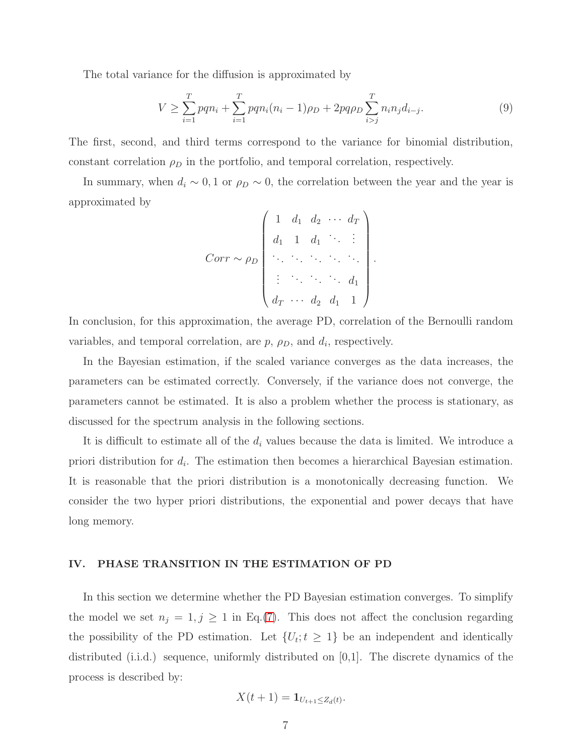The total variance for the diffusion is approximated by

$$
V \ge \sum_{i=1}^{T} p q n_i + \sum_{i=1}^{T} p q n_i (n_i - 1) \rho_D + 2p q \rho_D \sum_{i>j}^{T} n_i n_j d_{i-j}.
$$
 (9)

The first, second, and third terms correspond to the variance for binomial distribution, constant correlation  $\rho_D$  in the portfolio, and temporal correlation, respectively.

In summary, when  $d_i \sim 0, 1$  or  $\rho_D \sim 0$ , the correlation between the year and the year is approximated by

$$
Corr \sim \rho_D \begin{pmatrix} 1 & d_1 & d_2 & \cdots & d_T \\ d_1 & 1 & d_1 & \cdots & \vdots \\ \vdots & \vdots & \ddots & \ddots & \vdots \\ d_T & \cdots & d_2 & d_1 & 1 \end{pmatrix}.
$$

In conclusion, for this approximation, the average PD, correlation of the Bernoulli random variables, and temporal correlation, are  $p$ ,  $\rho_D$ , and  $d_i$ , respectively.

In the Bayesian estimation, if the scaled variance converges as the data increases, the parameters can be estimated correctly. Conversely, if the variance does not converge, the parameters cannot be estimated. It is also a problem whether the process is stationary, as discussed for the spectrum analysis in the following sections.

It is difficult to estimate all of the  $d_i$  values because the data is limited. We introduce a priori distribution for  $d_i$ . The estimation then becomes a hierarchical Bayesian estimation. It is reasonable that the priori distribution is a monotonically decreasing function. We consider the two hyper priori distributions, the exponential and power decays that have long memory.

## IV. PHASE TRANSITION IN THE ESTIMATION OF PD

In this section we determine whether the PD Bayesian estimation converges. To simplify the model we set  $n_j = 1, j \ge 1$  in Eq.[\(7\)](#page-5-0). This does not affect the conclusion regarding the possibility of the PD estimation. Let  $\{U_t; t \geq 1\}$  be an independent and identically distributed (i.i.d.) sequence, uniformly distributed on [0,1]. The discrete dynamics of the process is described by:

$$
X(t+1) = \mathbf{1}_{U_{t+1} \leq Z_d(t)}.
$$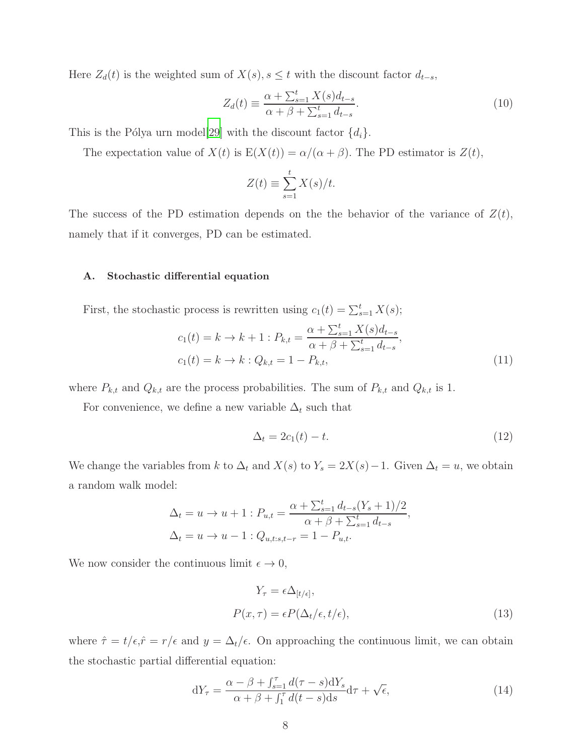Here  $Z_d(t)$  is the weighted sum of  $X(s)$ ,  $s \le t$  with the discount factor  $d_{t-s}$ ,

$$
Z_d(t) \equiv \frac{\alpha + \sum_{s=1}^t X(s)d_{t-s}}{\alpha + \beta + \sum_{s=1}^t d_{t-s}}.
$$
\n(10)

This is the Pólya urn model[\[29\]](#page-22-17) with the discount factor  $\{d_i\}$ .

The expectation value of  $X(t)$  is  $E(X(t)) = \alpha/(\alpha + \beta)$ . The PD estimator is  $Z(t)$ ,

$$
Z(t) \equiv \sum_{s=1}^{t} X(s)/t.
$$

The success of the PD estimation depends on the the behavior of the variance of  $Z(t)$ , namely that if it converges, PD can be estimated.

#### A. Stochastic differential equation

First, the stochastic process is rewritten using  $c_1(t) = \sum_{s=1}^{t} X(s)$ ;

$$
c_1(t) = k \to k + 1 : P_{k,t} = \frac{\alpha + \sum_{s=1}^{t} X(s) d_{t-s}}{\alpha + \beta + \sum_{s=1}^{t} d_{t-s}},
$$
  

$$
c_1(t) = k \to k : Q_{k,t} = 1 - P_{k,t},
$$
 (11)

where  $P_{k,t}$  and  $Q_{k,t}$  are the process probabilities. The sum of  $P_{k,t}$  and  $Q_{k,t}$  is 1.

For convenience, we define a new variable  $\Delta_t$  such that

$$
\Delta_t = 2c_1(t) - t.\tag{12}
$$

,

We change the variables from k to  $\Delta_t$  and  $X(s)$  to  $Y_s = 2X(s) - 1$ . Given  $\Delta_t = u$ , we obtain a random walk model:

$$
\Delta_t = u \to u + 1 : P_{u,t} = \frac{\alpha + \sum_{s=1}^t d_{t-s} (Y_s + 1)/2}{\alpha + \beta + \sum_{s=1}^t d_{t-s}} \n\Delta_t = u \to u - 1 : Q_{u,t:s,t-r} = 1 - P_{u,t}.
$$

We now consider the continuous limit  $\epsilon \to 0$ ,

$$
Y_{\tau} = \epsilon \Delta_{[t/\epsilon]},
$$
  
\n
$$
P(x,\tau) = \epsilon P(\Delta_t/\epsilon, t/\epsilon),
$$
\n(13)

where  $\hat{\tau} = t/\epsilon$ ,  $\hat{r} = r/\epsilon$  and  $y = \Delta_t/\epsilon$ . On approaching the continuous limit, we can obtain the stochastic partial differential equation:

<span id="page-7-0"></span>
$$
dY_{\tau} = \frac{\alpha - \beta + \int_{s=1}^{\tau} d(\tau - s) dY_s}{\alpha + \beta + \int_{1}^{\tau} d(t - s) ds} d\tau + \sqrt{\epsilon},\tag{14}
$$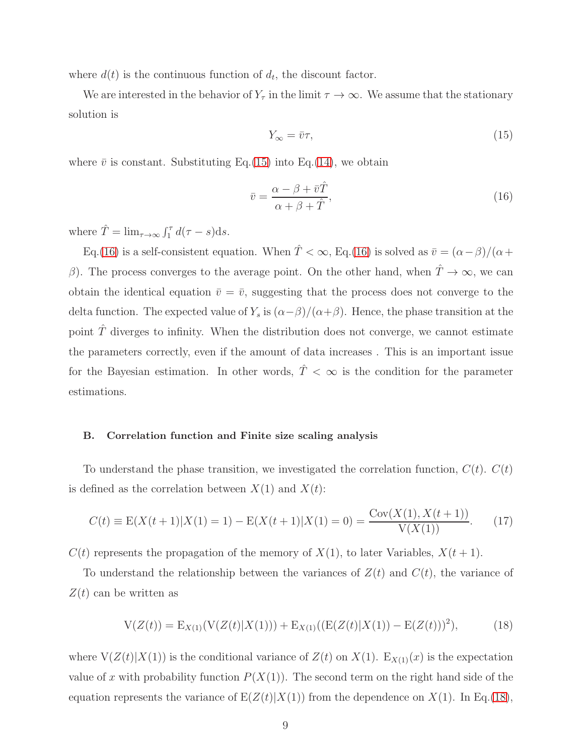where  $d(t)$  is the continuous function of  $d_t$ , the discount factor.

We are interested in the behavior of  $Y_\tau$  in the limit  $\tau \to \infty$ . We assume that the stationary solution is

<span id="page-8-0"></span>
$$
Y_{\infty} = \bar{v}\tau,\tag{15}
$$

where  $\bar{v}$  is constant. Substituting Eq.[\(15\)](#page-8-0) into Eq.[\(14\)](#page-7-0), we obtain

<span id="page-8-1"></span>
$$
\bar{v} = \frac{\alpha - \beta + \bar{v}\hat{T}}{\alpha + \beta + \hat{T}},\tag{16}
$$

where  $\hat{T} = \lim_{\tau \to \infty} \int_1^{\tau} d(\tau - s) \, ds.$ 

Eq.[\(16\)](#page-8-1) is a self-consistent equation. When  $\hat{T} < \infty$ , Eq.(16) is solved as  $\bar{v} = (\alpha - \beta)/(\alpha + \beta)$ β). The process converges to the average point. On the other hand, when  $\hat{T} \to \infty$ , we can obtain the identical equation  $\bar{v} = \bar{v}$ , suggesting that the process does not converge to the delta function. The expected value of  $Y_s$  is  $(\alpha - \beta)/(\alpha + \beta)$ . Hence, the phase transition at the point  $\hat{T}$  diverges to infinity. When the distribution does not converge, we cannot estimate the parameters correctly, even if the amount of data increases . This is an important issue for the Bayesian estimation. In other words,  $\hat{T} < \infty$  is the condition for the parameter estimations.

# B. Correlation function and Finite size scaling analysis

To understand the phase transition, we investigated the correlation function,  $C(t)$ .  $C(t)$ is defined as the correlation between  $X(1)$  and  $X(t)$ :

$$
C(t) \equiv E(X(t+1)|X(1) = 1) - E(X(t+1)|X(1) = 0) = \frac{Cov(X(1), X(t+1))}{V(X(1))}.
$$
 (17)

 $C(t)$  represents the propagation of the memory of  $X(1)$ , to later Variables,  $X(t + 1)$ .

To understand the relationship between the variances of  $Z(t)$  and  $C(t)$ , the variance of  $Z(t)$  can be written as

<span id="page-8-2"></span>
$$
V(Z(t)) = E_{X(1)}(V(Z(t)|X(1))) + E_{X(1)}((E(Z(t)|X(1)) - E(Z(t)))^{2}),
$$
\n(18)

where  $V(Z(t)|X(1))$  is the conditional variance of  $Z(t)$  on  $X(1)$ .  $E_{X(1)}(x)$  is the expectation value of x with probability function  $P(X(1))$ . The second term on the right hand side of the equation represents the variance of  $E(Z(t)|X(1))$  from the dependence on  $X(1)$ . In Eq.[\(18\)](#page-8-2),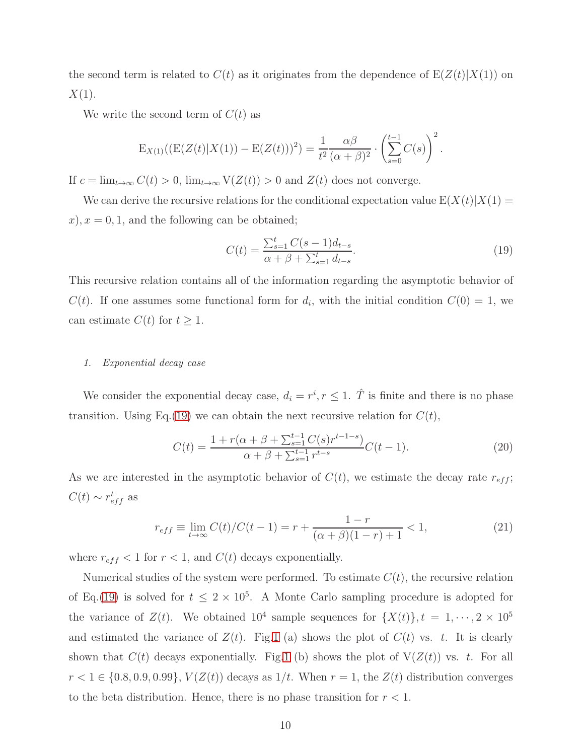the second term is related to  $C(t)$  as it originates from the dependence of  $E(Z(t)|X(1))$  on  $X(1)$ .

We write the second term of  $C(t)$  as

$$
E_{X(1)}((E(Z(t)|X(1)) - E(Z(t)))^{2}) = \frac{1}{t^{2}} \frac{\alpha \beta}{(\alpha + \beta)^{2}} \cdot \left(\sum_{s=0}^{t-1} C(s)\right)^{2}.
$$

If  $c = \lim_{t \to \infty} C(t) > 0$ ,  $\lim_{t \to \infty} V(Z(t)) > 0$  and  $Z(t)$  does not converge.

We can derive the recursive relations for the conditional expectation value  $E(X(t)|X(1)) =$  $(x)$ ,  $x = 0, 1$ , and the following can be obtained;

<span id="page-9-0"></span>
$$
C(t) = \frac{\sum_{s=1}^{t} C(s-1)d_{t-s}}{\alpha + \beta + \sum_{s=1}^{t} d_{t-s}}.
$$
\n(19)

This recursive relation contains all of the information regarding the asymptotic behavior of  $C(t)$ . If one assumes some functional form for  $d_i$ , with the initial condition  $C(0) = 1$ , we can estimate  $C(t)$  for  $t \geq 1$ .

#### *1. Exponential decay case*

We consider the exponential decay case,  $d_i = r^i, r \leq 1$ .  $\hat{T}$  is finite and there is no phase transition. Using Eq.[\(19\)](#page-9-0) we can obtain the next recursive relation for  $C(t)$ ,

$$
C(t) = \frac{1 + r(\alpha + \beta + \sum_{s=1}^{t-1} C(s)r^{t-1-s})}{\alpha + \beta + \sum_{s=1}^{t-1} r^{t-s}} C(t-1).
$$
 (20)

As we are interested in the asymptotic behavior of  $C(t)$ , we estimate the decay rate  $r_{eff}$ ;  $C(t) \sim r_{eff}^{t}$  as

$$
r_{eff} \equiv \lim_{t \to \infty} C(t)/C(t-1) = r + \frac{1-r}{(\alpha+\beta)(1-r)+1} < 1,
$$
\n(21)

where  $r_{eff}$  < 1 for  $r$  < 1, and  $C(t)$  decays exponentially.

Numerical studies of the system were performed. To estimate  $C(t)$ , the recursive relation of Eq.[\(19\)](#page-9-0) is solved for  $t \leq 2 \times 10^5$ . A Monte Carlo sampling procedure is adopted for the variance of  $Z(t)$ . We obtained  $10^4$  sample sequences for  $\{X(t)\}, t = 1, \dots, 2 \times 10^5$ and estimated the variance of  $Z(t)$ . Fig[.1](#page-10-0) (a) shows the plot of  $C(t)$  vs. t. It is clearly shown that  $C(t)$  decays exponentially. Fig[.1](#page-10-0) (b) shows the plot of  $V(Z(t))$  vs. t. For all  $r < 1 \in \{0.8, 0.9, 0.99\}, V(Z(t))$  decays as  $1/t$ . When  $r = 1$ , the  $Z(t)$  distribution converges to the beta distribution. Hence, there is no phase transition for  $r < 1$ .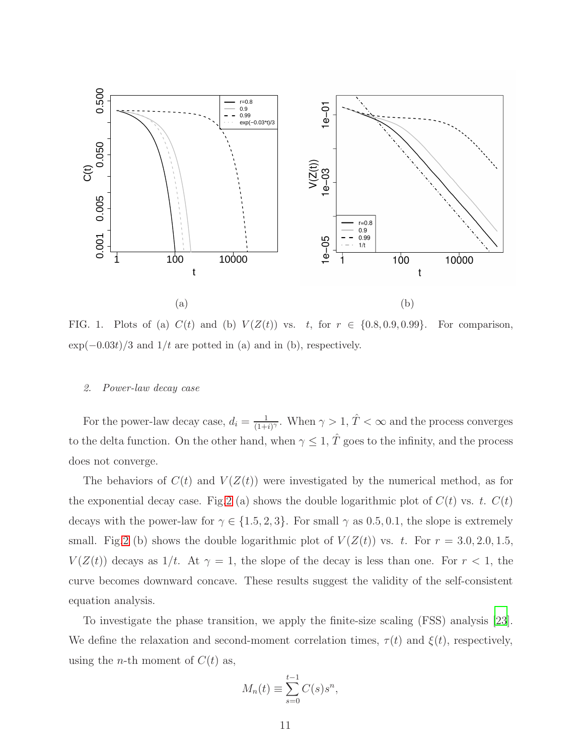

<span id="page-10-0"></span>FIG. 1. Plots of (a)  $C(t)$  and (b)  $V(Z(t))$  vs. t, for  $r \in \{0.8, 0.9, 0.99\}$ . For comparison,  $\exp(-0.03t)/3$  and  $1/t$  are potted in (a) and in (b), respectively.

#### *2. Power-law decay case*

For the power-law decay case,  $d_i = \frac{1}{(1 + i)^2}$  $\frac{1}{(1+i)^{\gamma}}$ . When  $\gamma > 1$ ,  $\hat{T} < \infty$  and the process converges to the delta function. On the other hand, when  $\gamma \leq 1$ ,  $\hat{T}$  goes to the infinity, and the process does not converge.

The behaviors of  $C(t)$  and  $V(Z(t))$  were investigated by the numerical method, as for the exponential decay case. Fig[.2](#page-11-0) (a) shows the double logarithmic plot of  $C(t)$  vs. t.  $C(t)$ decays with the power-law for  $\gamma \in \{1.5, 2, 3\}$ . For small  $\gamma$  as 0.5, 0.1, the slope is extremely small. Fig[.2](#page-11-0) (b) shows the double logarithmic plot of  $V(Z(t))$  vs. t. For  $r = 3.0, 2.0, 1.5$ ,  $V(Z(t))$  decays as 1/t. At  $\gamma = 1$ , the slope of the decay is less than one. For  $r < 1$ , the curve becomes downward concave. These results suggest the validity of the self-consistent equation analysis.

To investigate the phase transition, we apply the finite-size scaling (FSS) analysis [\[23\]](#page-22-11). We define the relaxation and second-moment correlation times,  $\tau(t)$  and  $\xi(t)$ , respectively, using the *n*-th moment of  $C(t)$  as,

<span id="page-10-1"></span>
$$
M_n(t) \equiv \sum_{s=0}^{t-1} C(s) s^n,
$$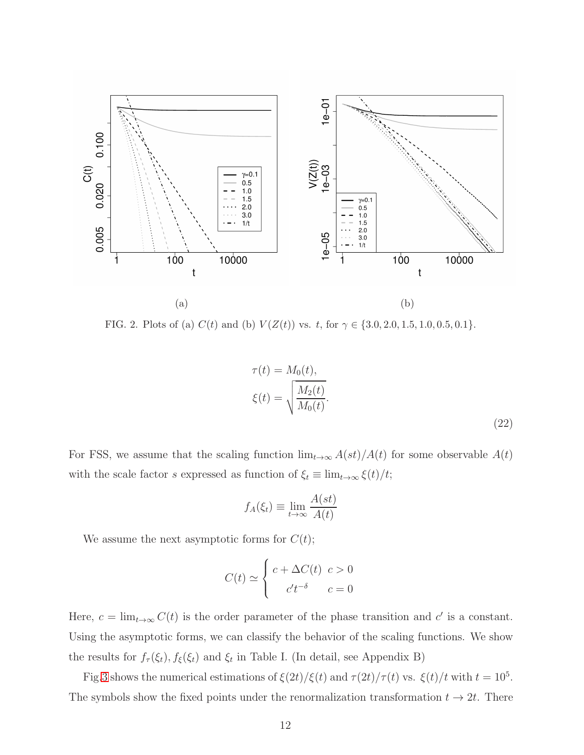

<span id="page-11-0"></span>FIG. 2. Plots of (a)  $C(t)$  and (b)  $V(Z(t))$  vs. t, for  $\gamma \in \{3.0, 2.0, 1.5, 1.0, 0.5, 0.1\}.$ 

$$
\tau(t) = M_0(t),
$$
  

$$
\xi(t) = \sqrt{\frac{M_2(t)}{M_0(t)}}.
$$
 (22)

For FSS, we assume that the scaling function  $\lim_{t\to\infty} A(st)/A(t)$  for some observable  $A(t)$ with the scale factor s expressed as function of  $\xi_t \equiv \lim_{t \to \infty} \xi(t)/t;$ 

$$
f_A(\xi_t) \equiv \lim_{t \to \infty} \frac{A(st)}{A(t)}
$$

We assume the next asymptotic forms for  $C(t)$ ;

$$
C(t) \simeq \begin{cases} c + \Delta C(t) & c > 0 \\ c' t^{-\delta} & c = 0 \end{cases}
$$

Here,  $c = \lim_{t \to \infty} C(t)$  is the order parameter of the phase transition and c' is a constant. Using the asymptotic forms, we can classify the behavior of the scaling functions. We show the results for  $f_{\tau}(\xi_t)$ ,  $f_{\xi}(\xi_t)$  and  $\xi_t$  in Table I. (In detail, see Appendix B)

Fig[.3](#page-12-0) shows the numerical estimations of  $\xi(2t)/\xi(t)$  and  $\tau(2t)/\tau(t)$  vs.  $\xi(t)/t$  with  $t = 10^5$ . The symbols show the fixed points under the renormalization transformation  $t \to 2t$ . There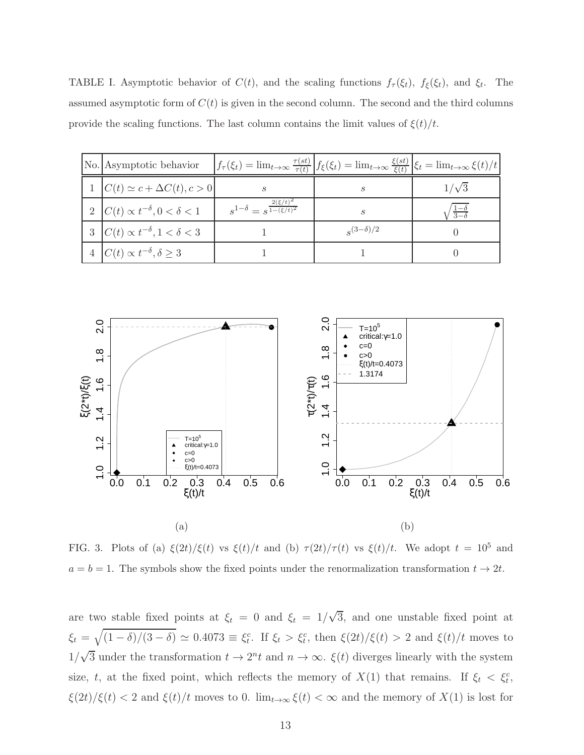TABLE I. Asymptotic behavior of  $C(t)$ , and the scaling functions  $f_{\tau}(\xi_t)$ ,  $f_{\xi}(\xi_t)$ , and  $\xi_t$ . The assumed asymptotic form of  $C(t)$  is given in the second column. The second and the third columns provide the scaling functions. The last column contains the limit values of  $\xi(t)/t$ .

| No. Asymptotic behavior                      | $\left f_{\tau}(\xi_t) = \lim_{t \to \infty} \frac{\tau(st)}{\tau(t)}\right  f_{\xi}(\xi_t) = \lim_{t \to \infty} \frac{\xi(st)}{\xi(t)} \left \xi_t = \lim_{t \to \infty} \xi(t)/t\right $ |                    |                             |
|----------------------------------------------|---------------------------------------------------------------------------------------------------------------------------------------------------------------------------------------------|--------------------|-----------------------------|
| $1   C(t) \simeq c + \Delta C(t), c > 0  $   |                                                                                                                                                                                             | S                  | $1/\sqrt{3}$                |
| 2 $C(t) \propto t^{-\delta}, 0 < \delta < 1$ | $s^{1-\delta} = s^{\frac{2(\xi/t)^2}{1-(\xi/t)^2}}$                                                                                                                                         | S                  | $\frac{1-\delta}{3-\delta}$ |
| 3 $C(t) \propto t^{-\delta}, 1 < \delta < 3$ |                                                                                                                                                                                             | $s^{(3-\delta)/2}$ |                             |
| 4 $C(t) \propto t^{-\delta}, \delta \geq 3$  |                                                                                                                                                                                             |                    |                             |



<span id="page-12-0"></span>FIG. 3. Plots of (a)  $\xi(2t)/\xi(t)$  vs  $\xi(t)/t$  and (b)  $\tau(2t)/\tau(t)$  vs  $\xi(t)/t$ . We adopt  $t = 10^5$  and  $a = b = 1$ . The symbols show the fixed points under the renormalization transformation  $t \to 2t$ .

are two stable fixed points at  $\xi_t = 0$  and  $\xi_t = 1/\sqrt{3}$ , and one unstable fixed point at  $\xi_t = \sqrt{(1-\delta)/(3-\delta)} \simeq 0.4073 \equiv \xi_t^c$ . If  $\xi_t > \xi_t^c$ , then  $\xi(2t)/\xi(t) > 2$  and  $\xi(t)/t$  moves to  $1/\sqrt{3}$  under the transformation  $t \to 2^n t$  and  $n \to \infty$ .  $\xi(t)$  diverges linearly with the system size, t, at the fixed point, which reflects the memory of  $X(1)$  that remains. If  $\xi_t < \xi_t^c$ ,  $\xi(2t)/\xi(t)$  < 2 and  $\xi(t)/t$  moves to 0.  $\lim_{t\to\infty}\xi(t) < \infty$  and the memory of  $X(1)$  is lost for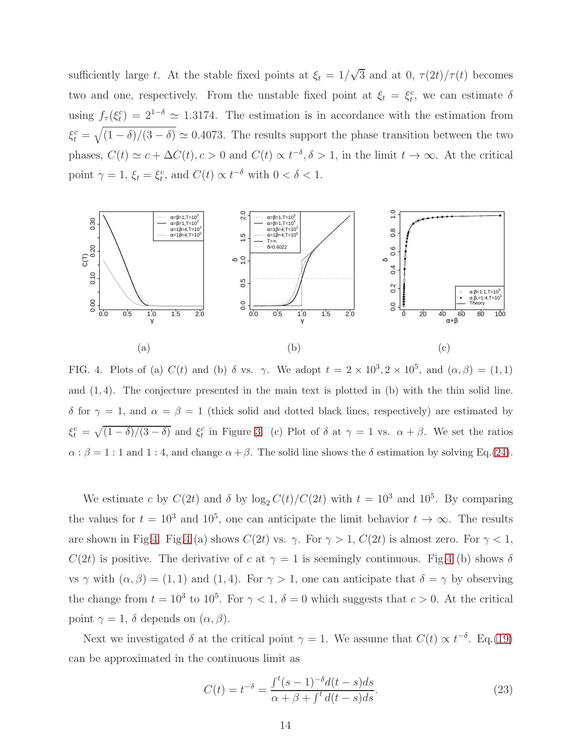sufficiently large t. At the stable fixed points at  $\xi_t = 1/\sqrt{3}$  and at 0,  $\tau(2t)/\tau(t)$  becomes two and one, respectively. From the unstable fixed point at  $\xi_t = \xi_t^c$ , we can estimate  $\delta$ using  $f_{\tau}(\xi_t^c) = 2^{1-\delta} \simeq 1.3174$ . The estimation is in accordance with the estimation from  $\xi_t^c = \sqrt{(1-\delta)/(3-\delta)} \simeq 0.4073$ . The results support the phase transition between the two phases,  $C(t) \simeq c + \Delta C(t)$ ,  $c > 0$  and  $C(t) \propto t^{-\delta}$ ,  $\delta > 1$ , in the limit  $t \to \infty$ . At the critical point  $\gamma = 1$ ,  $\xi_t = \xi_t^c$ , and  $C(t) \propto t^{-\delta}$  with  $0 < \delta < 1$ .



<span id="page-13-0"></span>FIG. 4. Plots of (a)  $C(t)$  and (b)  $\delta$  vs.  $\gamma$ . We adopt  $t = 2 \times 10^3$ ,  $2 \times 10^5$ , and  $(\alpha, \beta) = (1, 1)$ and  $(1, 4)$ . The conjecture presented in the main text is plotted in  $(b)$  with the thin solid line. δ for  $\gamma = 1$ , and  $\alpha = \beta = 1$  (thick solid and dotted black lines, respectively) are estimated by  $\xi_t^c = \sqrt{(1-\delta)/(3-\delta)}$  and  $\xi_t^c$  in Figure [3.](#page-12-0) (c) Plot of  $\delta$  at  $\gamma = 1$  vs.  $\alpha + \beta$ . We set the ratios  $\alpha$ :  $\beta = 1$ : 1 and 1: 4, and change  $\alpha + \beta$ . The solid line shows the  $\delta$  estimation by solving Eq.[\(24\)](#page-14-0).

We estimate c by  $C(2t)$  and  $\delta$  by  $\log_2 C(t)/C(2t)$  with  $t = 10^3$  and  $10^5$ . By comparing the values for  $t = 10^3$  and  $10^5$ , one can anticipate the limit behavior  $t \to \infty$ . The results are shown in Fig[.4.](#page-13-0) Fig[.4](#page-13-0) (a) shows  $C(2t)$  vs.  $\gamma$ . For  $\gamma > 1$ ,  $C(2t)$  is almost zero. For  $\gamma < 1$ ,  $C(2t)$  is positive. The derivative of c at  $\gamma = 1$  is seemingly continuous. Fig[.4](#page-13-0) (b) shows  $\delta$ vs  $\gamma$  with  $(\alpha, \beta) = (1, 1)$  and  $(1, 4)$ . For  $\gamma > 1$ , one can anticipate that  $\delta = \gamma$  by observing the change from  $t = 10^3$  to  $10^5$ . For  $\gamma < 1$ ,  $\delta = 0$  which suggests that  $c > 0$ . At the critical point  $\gamma = 1$ ,  $\delta$  depends on  $(\alpha, \beta)$ .

Next we investigated  $\delta$  at the critical point  $\gamma = 1$ . We assume that  $C(t) \propto t^{-\delta}$ . Eq.[\(19\)](#page-9-0) can be approximated in the continuous limit as

$$
C(t) = t^{-\delta} = \frac{\int^t (s-1)^{-\delta} d(t-s)ds}{\alpha + \beta + \int^t d(t-s)ds}.
$$
\n(23)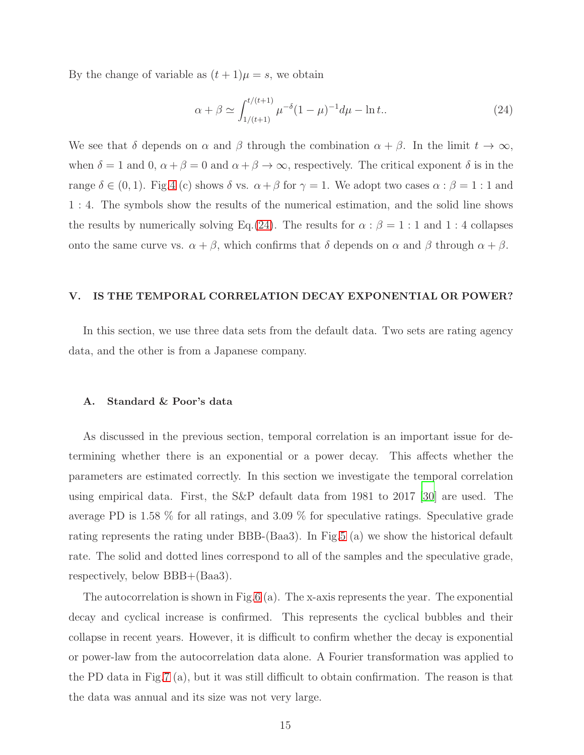By the change of variable as  $(t + 1)\mu = s$ , we obtain

<span id="page-14-0"></span>
$$
\alpha + \beta \simeq \int_{1/(t+1)}^{t/(t+1)} \mu^{-\delta} (1-\mu)^{-1} d\mu - \ln t. \tag{24}
$$

We see that  $\delta$  depends on  $\alpha$  and  $\beta$  through the combination  $\alpha + \beta$ . In the limit  $t \to \infty$ , when  $\delta = 1$  and  $0, \alpha + \beta = 0$  and  $\alpha + \beta \rightarrow \infty$ , respectively. The critical exponent  $\delta$  is in the range  $\delta \in (0,1)$ . Fig[.4](#page-13-0) (c) shows  $\delta$  vs.  $\alpha + \beta$  for  $\gamma = 1$ . We adopt two cases  $\alpha : \beta = 1 : 1$  and 1 : 4. The symbols show the results of the numerical estimation, and the solid line shows the results by numerically solving Eq.[\(24\)](#page-14-0). The results for  $\alpha$  :  $\beta = 1$  : 1 and 1 : 4 collapses onto the same curve vs.  $\alpha + \beta$ , which confirms that  $\delta$  depends on  $\alpha$  and  $\beta$  through  $\alpha + \beta$ .

#### V. IS THE TEMPORAL CORRELATION DECAY EXPONENTIAL OR POWER?

In this section, we use three data sets from the default data. Two sets are rating agency data, and the other is from a Japanese company.

#### A. Standard & Poor's data

As discussed in the previous section, temporal correlation is an important issue for determining whether there is an exponential or a power decay. This affects whether the parameters are estimated correctly. In this section we investigate the temporal correlation using empirical data. First, the S&P default data from 1981 to 2017 [\[30](#page-22-18)] are used. The average PD is 1.58 % for all ratings, and 3.09 % for speculative ratings. Speculative grade rating represents the rating under BBB-(Baa3). In Fig[.5](#page-15-0) (a) we show the historical default rate. The solid and dotted lines correspond to all of the samples and the speculative grade, respectively, below BBB+(Baa3).

The autocorrelation is shown in Fig[.6](#page-15-1) (a). The x-axis represents the year. The exponential decay and cyclical increase is confirmed. This represents the cyclical bubbles and their collapse in recent years. However, it is difficult to confirm whether the decay is exponential or power-law from the autocorrelation data alone. A Fourier transformation was applied to the PD data in Fig[.7](#page-16-0) (a), but it was still difficult to obtain confirmation. The reason is that the data was annual and its size was not very large.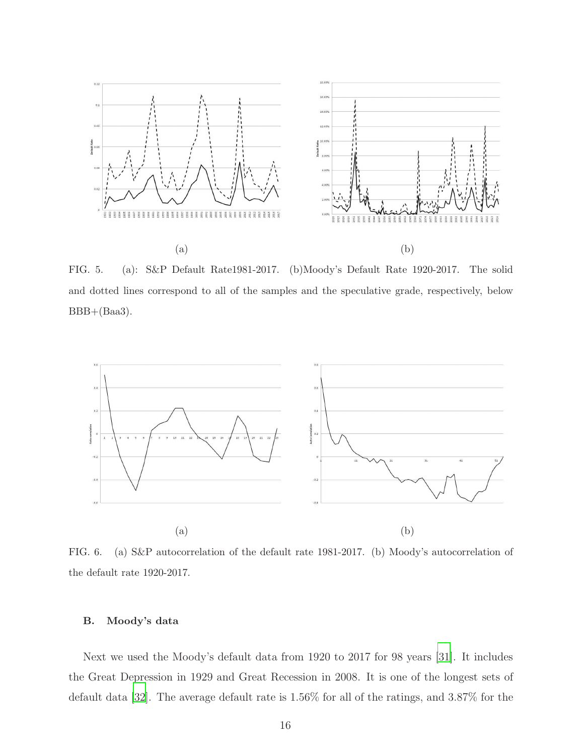

<span id="page-15-0"></span>FIG. 5. (a): S&P Default Rate1981-2017. (b)Moody's Default Rate 1920-2017. The solid and dotted lines correspond to all of the samples and the speculative grade, respectively, below  $BBB+(Baa3).$ 



<span id="page-15-1"></span>FIG. 6. (a) S&P autocorrelation of the default rate 1981-2017. (b) Moody's autocorrelation of the default rate 1920-2017.

## B. Moody's data

Next we used the Moody's default data from 1920 to 2017 for 98 years [\[31\]](#page-22-19). It includes the Great Depression in 1929 and Great Recession in 2008. It is one of the longest sets of default data [\[32\]](#page-22-20). The average default rate is 1.56% for all of the ratings, and 3.87% for the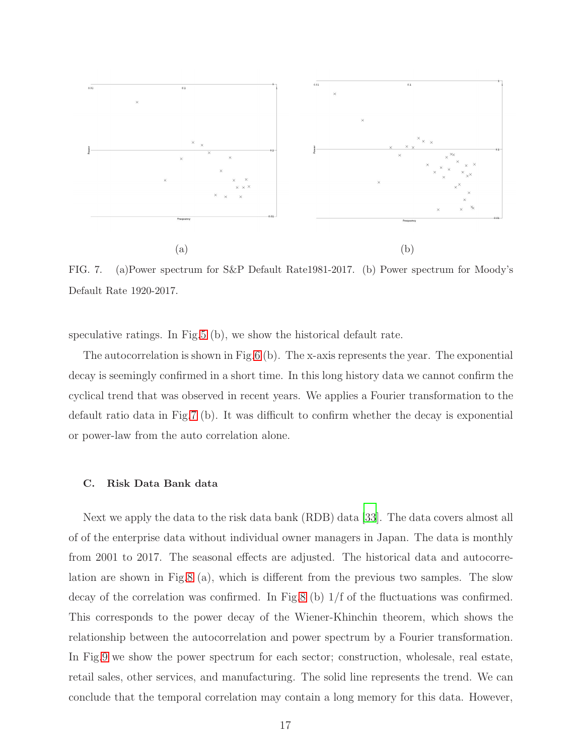

<span id="page-16-0"></span>FIG. 7. (a)Power spectrum for S&P Default Rate1981-2017. (b) Power spectrum for Moody's Default Rate 1920-2017.

speculative ratings. In Fig[.5](#page-15-0) (b), we show the historical default rate.

The autocorrelation is shown in Fig[.6](#page-15-1) (b). The x-axis represents the year. The exponential decay is seemingly confirmed in a short time. In this long history data we cannot confirm the cyclical trend that was observed in recent years. We applies a Fourier transformation to the default ratio data in Fig[.7](#page-16-0) (b). It was difficult to confirm whether the decay is exponential or power-law from the auto correlation alone.

#### C. Risk Data Bank data

Next we apply the data to the risk data bank (RDB) data [\[33\]](#page-22-21). The data covers almost all of of the enterprise data without individual owner managers in Japan. The data is monthly from 2001 to 2017. The seasonal effects are adjusted. The historical data and autocorrelation are shown in Fig[.8](#page-17-0) (a), which is different from the previous two samples. The slow decay of the correlation was confirmed. In Fig[.8](#page-17-0) (b) 1/f of the fluctuations was confirmed. This corresponds to the power decay of the Wiener-Khinchin theorem, which shows the relationship between the autocorrelation and power spectrum by a Fourier transformation. In Fig[.9](#page-17-1) we show the power spectrum for each sector; construction, wholesale, real estate, retail sales, other services, and manufacturing. The solid line represents the trend. We can conclude that the temporal correlation may contain a long memory for this data. However,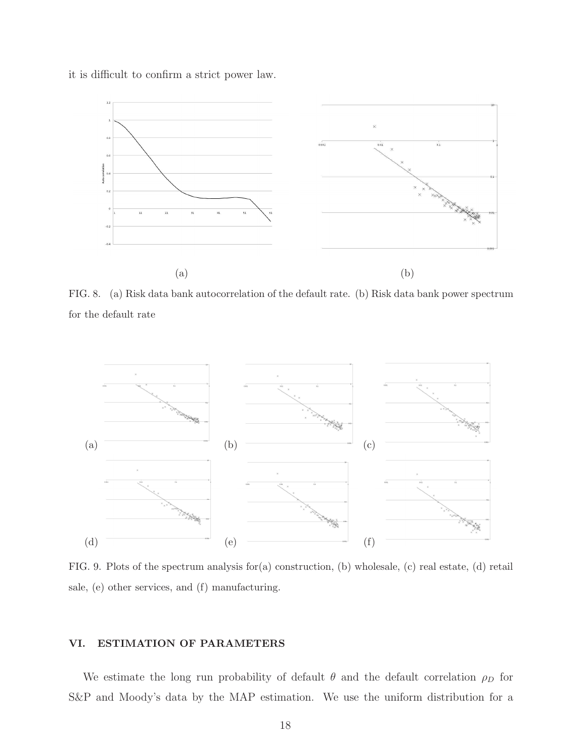it is difficult to confirm a strict power law.



<span id="page-17-0"></span>FIG. 8. (a) Risk data bank autocorrelation of the default rate. (b) Risk data bank power spectrum for the default rate



<span id="page-17-1"></span>FIG. 9. Plots of the spectrum analysis for(a) construction, (b) wholesale, (c) real estate, (d) retail sale, (e) other services, and (f) manufacturing.

## VI. ESTIMATION OF PARAMETERS

We estimate the long run probability of default  $\theta$  and the default correlation  $\rho_D$  for S&P and Moody's data by the MAP estimation. We use the uniform distribution for a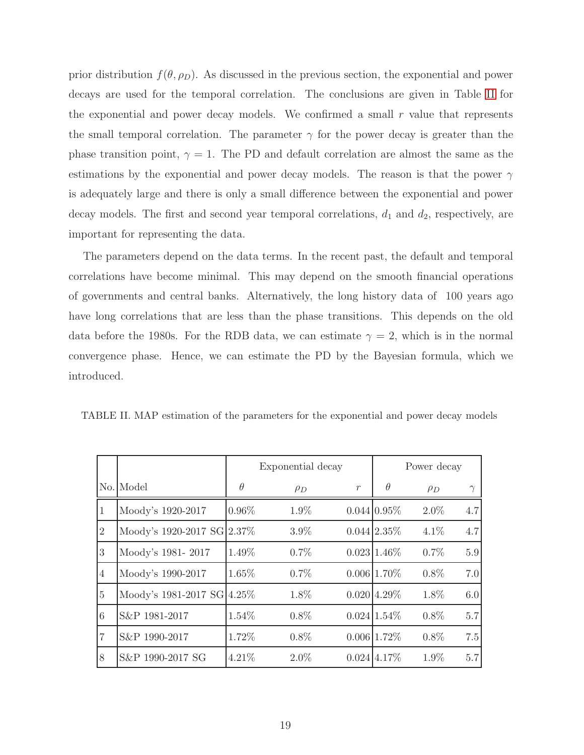prior distribution  $f(\theta, \rho_D)$ . As discussed in the previous section, the exponential and power decays are used for the temporal correlation. The conclusions are given in Table [II](#page-18-0) for the exponential and power decay models. We confirmed a small  $r$  value that represents the small temporal correlation. The parameter  $\gamma$  for the power decay is greater than the phase transition point,  $\gamma = 1$ . The PD and default correlation are almost the same as the estimations by the exponential and power decay models. The reason is that the power  $\gamma$ is adequately large and there is only a small difference between the exponential and power decay models. The first and second year temporal correlations,  $d_1$  and  $d_2$ , respectively, are important for representing the data.

The parameters depend on the data terms. In the recent past, the default and temporal correlations have become minimal. This may depend on the smooth financial operations of governments and central banks. Alternatively, the long history data of 100 years ago have long correlations that are less than the phase transitions. This depends on the old data before the 1980s. For the RDB data, we can estimate  $\gamma = 2$ , which is in the normal convergence phase. Hence, we can estimate the PD by the Bayesian formula, which we introduced.

|  | TABLE II. MAP estimation of the parameters for the exponential and power decay models |  |
|--|---------------------------------------------------------------------------------------|--|
|  |                                                                                       |  |

<span id="page-18-0"></span>

|                |                            | Exponential decay |          |               | Power decay    |          |     |  |
|----------------|----------------------------|-------------------|----------|---------------|----------------|----------|-----|--|
|                | No. Model                  | $\theta$          | $\rho_D$ | $\mathcal{r}$ | $\theta$       | $\rho_D$ |     |  |
| 1              | Moody's 1920-2017          | $0.96\%$          | 1.9%     |               | 0.044 0.95%    | $2.0\%$  | 4.7 |  |
| $\overline{2}$ | Moody's 1920-2017 SG 2.37% |                   | $3.9\%$  |               | $0.044$ 2.35\% | 4.1%     | 4.7 |  |
| 3              | Moody's 1981-2017          | 1.49%             | $0.7\%$  |               | $0.023 1.46\%$ | 0.7%     | 5.9 |  |
| $\overline{4}$ | Moody's 1990-2017          | 1.65%             | $0.7\%$  |               | $0.006 1.70\%$ | $0.8\%$  | 7.0 |  |
| $\overline{5}$ | Moody's 1981-2017 SG 4.25% |                   | 1.8%     |               | $0.020$ 4.29%  | 1.8%     | 6.0 |  |
| 6              | S&P 1981-2017              | 1.54%             | $0.8\%$  |               | $0.024$ 1.54\% | $0.8\%$  | 5.7 |  |
| 7              | S&P 1990-2017              | 1.72%             | $0.8\%$  |               | 0.006 1.72%    | $0.8\%$  | 7.5 |  |
| 8              | S&P 1990-2017 SG           | 4.21%             | $2.0\%$  |               | $0.024$ 4.17%  | $1.9\%$  | 5.7 |  |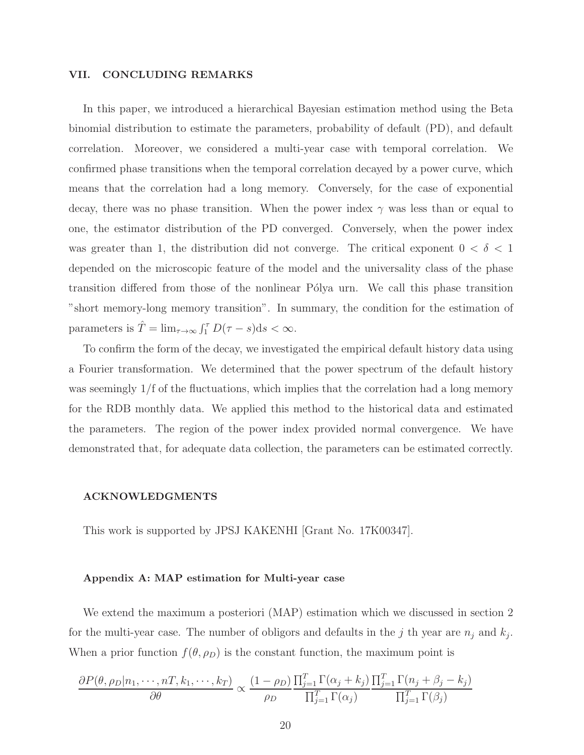#### VII. CONCLUDING REMARKS

In this paper, we introduced a hierarchical Bayesian estimation method using the Beta binomial distribution to estimate the parameters, probability of default (PD), and default correlation. Moreover, we considered a multi-year case with temporal correlation. We confirmed phase transitions when the temporal correlation decayed by a power curve, which means that the correlation had a long memory. Conversely, for the case of exponential decay, there was no phase transition. When the power index  $\gamma$  was less than or equal to one, the estimator distribution of the PD converged. Conversely, when the power index was greater than 1, the distribution did not converge. The critical exponent  $0 < \delta < 1$ depended on the microscopic feature of the model and the universality class of the phase transition differed from those of the nonlinear Pólya urn. We call this phase transition "short memory-long memory transition". In summary, the condition for the estimation of parameters is  $\hat{T} = \lim_{\tau \to \infty} \int_1^{\tau} D(\tau - s) ds < \infty$ .

To confirm the form of the decay, we investigated the empirical default history data using a Fourier transformation. We determined that the power spectrum of the default history was seemingly  $1/f$  of the fluctuations, which implies that the correlation had a long memory for the RDB monthly data. We applied this method to the historical data and estimated the parameters. The region of the power index provided normal convergence. We have demonstrated that, for adequate data collection, the parameters can be estimated correctly.

#### ACKNOWLEDGMENTS

This work is supported by JPSJ KAKENHI [Grant No. 17K00347].

#### Appendix A: MAP estimation for Multi-year case

We extend the maximum a posteriori (MAP) estimation which we discussed in section 2 for the multi-year case. The number of obligors and defaults in the j th year are  $n_j$  and  $k_j$ . When a prior function  $f(\theta, \rho_D)$  is the constant function, the maximum point is

<span id="page-19-0"></span>
$$
\frac{\partial P(\theta, \rho_D | n_1, \cdots, nT, k_1, \cdots, k_T)}{\partial \theta} \propto \frac{(1 - \rho_D)}{\rho_D} \frac{\prod_{j=1}^T \Gamma(\alpha_j + k_j)}{\prod_{j=1}^T \Gamma(\alpha_j)} \frac{\prod_{j=1}^T \Gamma(n_j + \beta_j - k_j)}{\prod_{j=1}^T \Gamma(\beta_j)}
$$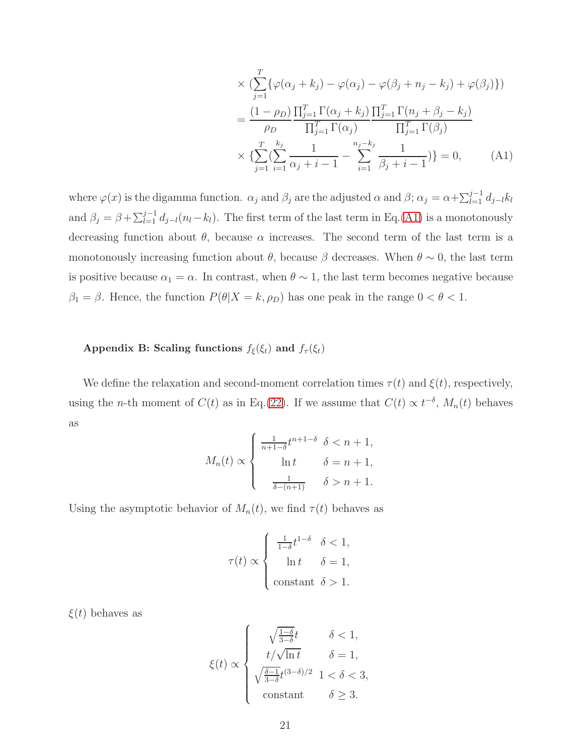$$
\times \left( \sum_{j=1}^{T} \{ \varphi(\alpha_j + k_j) - \varphi(\alpha_j) - \varphi(\beta_j + n_j - k_j) + \varphi(\beta_j) \} \right)
$$
  
= 
$$
\frac{(1 - \rho_D)}{\rho_D} \frac{\prod_{j=1}^{T} \Gamma(\alpha_j + k_j)}{\prod_{j=1}^{T} \Gamma(\alpha_j)} \frac{\prod_{j=1}^{T} \Gamma(n_j + \beta_j - k_j)}{\prod_{j=1}^{T} \Gamma(\beta_j)}
$$
  

$$
\times \left\{ \sum_{j=1}^{T} \left( \sum_{i=1}^{k_j} \frac{1}{\alpha_j + i - 1} - \sum_{i=1}^{n_j - k_j} \frac{1}{\beta_j + i - 1} \right) \right\} = 0, \quad (A1)
$$

where  $\varphi(x)$  is the digamma function.  $\alpha_j$  and  $\beta_j$  are the adjusted  $\alpha$  and  $\beta$ ;  $\alpha_j = \alpha + \sum_{l=1}^{j-1} d_{j-l} k_l$ and  $\beta_j = \beta + \sum_{l=1}^{j-1} d_{j-l}(n_l - k_l)$ . The first term of the last term in Eq.[\(A1\)](#page-19-0) is a monotonously decreasing function about  $\theta$ , because  $\alpha$  increases. The second term of the last term is a monotonously increasing function about  $\theta$ , because  $\beta$  decreases. When  $\theta \sim 0$ , the last term is positive because  $\alpha_1 = \alpha$ . In contrast, when  $\theta \sim 1$ , the last term becomes negative because  $\beta_1 = \beta$ . Hence, the function  $P(\theta|X = k, \rho_D)$  has one peak in the range  $0 < \theta < 1$ .

# Appendix B: Scaling functions  $f_{\xi}(\xi_t)$  and  $f_{\tau}(\xi_t)$

We define the relaxation and second-moment correlation times  $\tau(t)$  and  $\xi(t)$ , respectively, using the *n*-th moment of  $C(t)$  as in Eq.[\(22\)](#page-10-1). If we assume that  $C(t) \propto t^{-\delta}$ ,  $M_n(t)$  behaves as

$$
M_n(t) \propto \begin{cases} \frac{1}{n+1-\delta}t^{n+1-\delta} & \delta < n+1, \\ \ln t & \delta = n+1, \\ \frac{1}{\delta - (n+1)} & \delta > n+1. \end{cases}
$$

Using the asymptotic behavior of  $M_n(t)$ , we find  $\tau(t)$  behaves as

$$
\tau(t) \propto \begin{cases} \frac{1}{1-\delta}t^{1-\delta} & \delta < 1, \\ \ln t & \delta = 1, \\ \text{constant } \delta > 1. \end{cases}
$$

 $\xi(t)$  behaves as

$$
\xi(t) \propto \begin{cases} \sqrt{\frac{1-\delta}{3-\delta}}t & \delta < 1, \\ t/\sqrt{\ln t} & \delta = 1, \\ \sqrt{\frac{\delta-1}{3-\delta}}t^{(3-\delta)/2} & 1 < \delta < 3, \\ \text{constant} & \delta \ge 3. \end{cases}
$$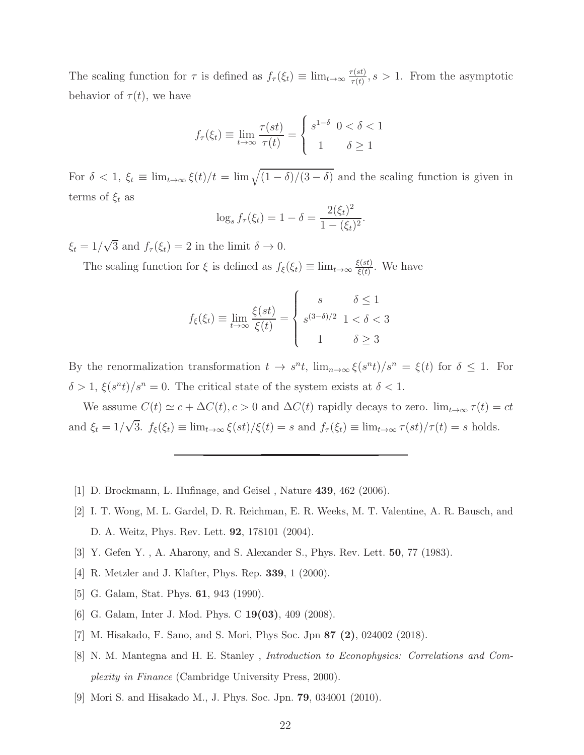The scaling function for  $\tau$  is defined as  $f_{\tau}(\xi_t) \equiv \lim_{t \to \infty} \frac{\tau(st)}{\tau(t)}$  $\frac{\tau(st)}{\tau(t)}, s > 1$ . From the asymptotic behavior of  $\tau(t)$ , we have

$$
f_{\tau}(\xi_t) \equiv \lim_{t \to \infty} \frac{\tau(st)}{\tau(t)} = \begin{cases} s^{1-\delta} & 0 < \delta < 1 \\ 1 & \delta \ge 1 \end{cases}
$$

For  $\delta < 1$ ,  $\xi_t \equiv \lim_{t \to \infty} \xi(t)/t = \lim_{t \to \infty} \sqrt{(1-\delta)/(3-\delta)}$  and the scaling function is given in terms of  $\xi_t$  as

$$
\log_s f_\tau(\xi_t) = 1 - \delta = \frac{2(\xi_t)^2}{1 - (\xi_t)^2}.
$$

 $\xi_t = 1/\sqrt{3}$  and  $f_\tau(\xi_t) = 2$  in the limit  $\delta \to 0$ .

The scaling function for  $\xi$  is defined as  $f_{\xi}(\xi_t) \equiv \lim_{t \to \infty} \frac{\xi(st)}{\xi(t)}$  $\frac{\xi(st)}{\xi(t)}$ . We have

$$
f_{\xi}(\xi_t) \equiv \lim_{t \to \infty} \frac{\xi(st)}{\xi(t)} = \begin{cases} s & \delta \le 1\\ s^{(3-\delta)/2} & 1 < \delta < 3\\ 1 & \delta \ge 3 \end{cases}
$$

By the renormalization transformation  $t \to s^n t$ ,  $\lim_{n\to\infty} \xi(s^n t)/s^n = \xi(t)$  for  $\delta \leq 1$ . For  $\delta > 1, \xi(s^n t)/s^n = 0.$  The critical state of the system exists at  $\delta < 1.$ 

We assume  $C(t) \simeq c + \Delta C(t)$ ,  $c > 0$  and  $\Delta C(t)$  rapidly decays to zero.  $\lim_{t \to \infty} \tau(t) = ct$ and  $\xi_t = 1/\sqrt{3}$ .  $f_{\xi}(\xi_t) \equiv \lim_{t \to \infty} \xi(st)/\xi(t) = s$  and  $f_{\tau}(\xi_t) \equiv \lim_{t \to \infty} \tau(st)/\tau(t) = s$  holds.

- <span id="page-21-0"></span>[1] D. Brockmann, L. Hufinage, and Geisel , Nature 439, 462 (2006).
- [2] I. T. Wong, M. L. Gardel, D. R. Reichman, E. R. Weeks, M. T. Valentine, A. R. Bausch, and D. A. Weitz, Phys. Rev. Lett. 92, 178101 (2004).
- <span id="page-21-1"></span>[3] Y. Gefen Y. , A. Aharony, and S. Alexander S., Phys. Rev. Lett. 50, 77 (1983).
- [4] R. Metzler and J. Klafter, Phys. Rep. 339, 1 (2000).
- <span id="page-21-2"></span>[5] G. Galam, Stat. Phys. 61, 943 (1990).
- <span id="page-21-3"></span>[6] G. Galam, Inter J. Mod. Phys. C 19(03), 409 (2008).
- [7] M. Hisakado, F. Sano, and S. Mori, Phys Soc. Jpn 87 (2), 024002 (2018).
- <span id="page-21-4"></span>[8] N. M. Mantegna and H. E. Stanley , *Introduction to Econophysics: Correlations and Complexity in Finance* (Cambridge University Press, 2000).
- <span id="page-21-5"></span>[9] Mori S. and Hisakado M., J. Phys. Soc. Jpn. 79, 034001 (2010).